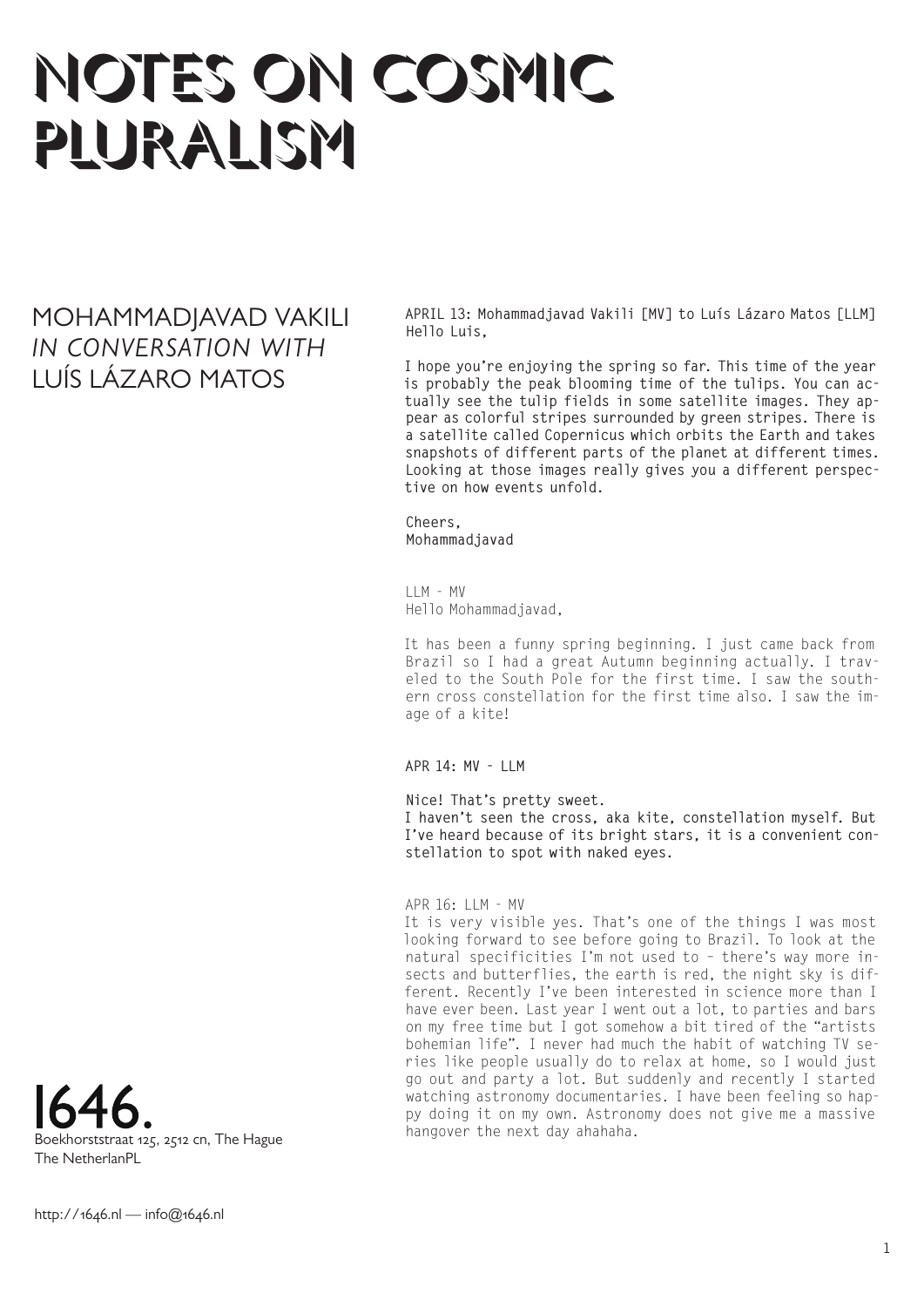# NOTES ON COSMIC PLURALISM

MOHAMMADJAVAD VAKILI *IN CONVERSATION WITH* LUÍS LÁZARO MATOS

**APRIL 13: Mohammadjavad Vakili [MV] to Luís Lázaro Matos [LLM] Hello Luis,** 

**I hope you're enjoying the spring so far. This time of the year is probably the peak blooming time of the tulips. You can actually see the tulip fields in some satellite images. They appear as colorful stripes surrounded by green stripes. There is a satellite called Copernicus which orbits the Earth and takes snapshots of different parts of the planet at different times. Looking at those images really gives you a different perspective on how events unfold.** 

**Cheers, Mohammadjavad**

 $I$   $M - MV$ Hello Mohammadjavad,

It has been a funny spring beginning. I just came back from Brazil so I had a great Autumn beginning actually. I traveled to the South Pole for the first time. I saw the southern cross constellation for the first time also. I saw the image of a kite!

**APR 14: MV - LLM**

**Nice! That's pretty sweet.**

**I haven't seen the cross, aka kite, constellation myself. But I've heard because of its bright stars, it is a convenient constellation to spot with naked eyes.**

APR 16: LLM - MV

It is very visible yes. That's one of the things I was most looking forward to see before going to Brazil. To look at the natural specificities I'm not used to – there's way more insects and butterflies, the earth is red, the night sky is different. Recently I've been interested in science more than I have ever been. Last year I went out a lot, to parties and bars on my free time but I got somehow a bit tired of the "artists bohemian life". I never had much the habit of watching TV series like people usually do to relax at home, so I would just go out and party a lot. But suddenly and recently I started watching astronomy documentaries. I have been feeling so happy doing it on my own. Astronomy does not give me a massive hangover the next day ahahaha.

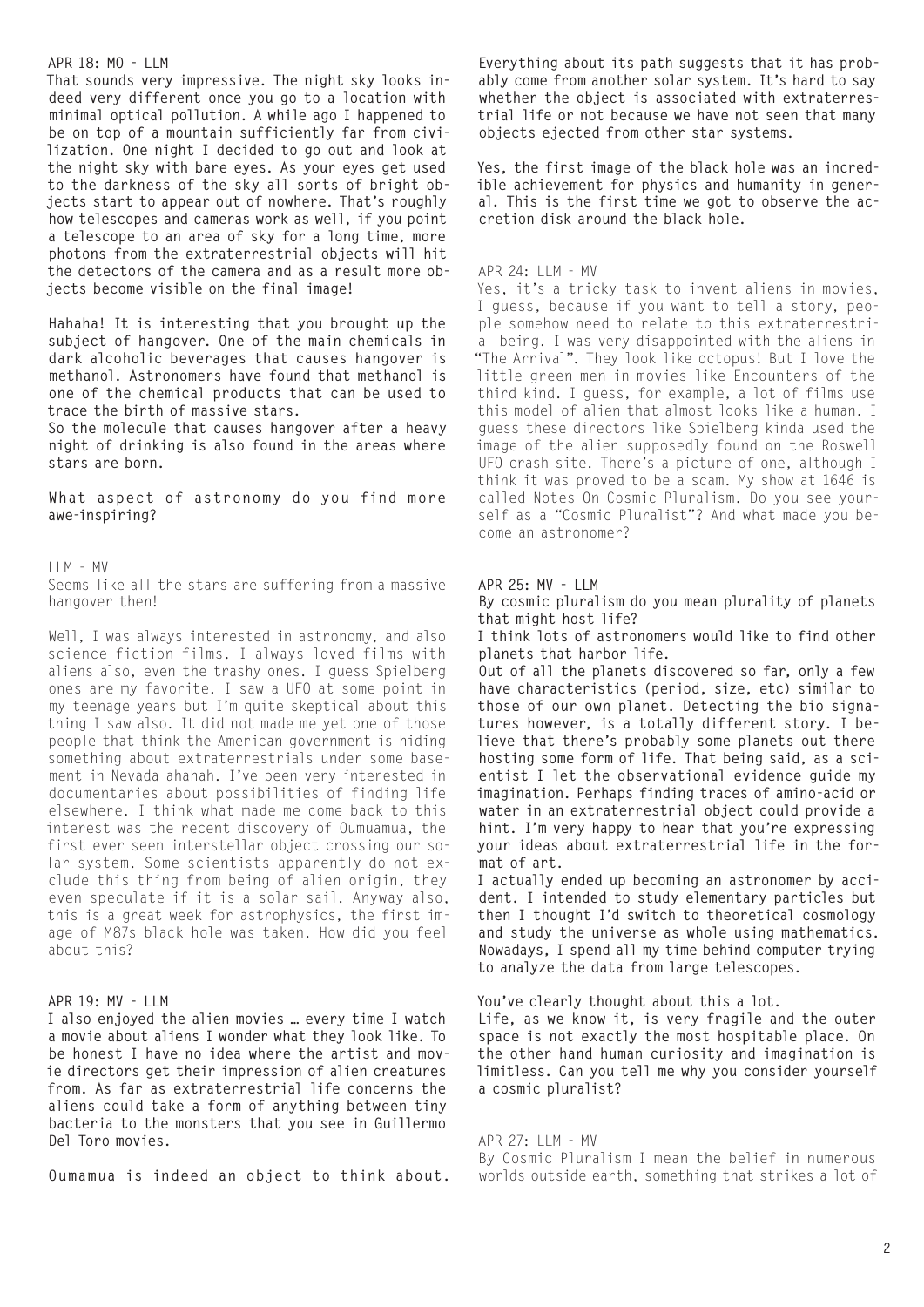### **APR 18: MO - LLM**

**That sounds very impressive. The night sky looks indeed very different once you go to a location with minimal optical pollution. A while ago I happened to be on top of a mountain sufficiently far from civilization. One night I decided to go out and look at the night sky with bare eyes. As your eyes get used to the darkness of the sky all sorts of bright objects start to appear out of nowhere. That's roughly how telescopes and cameras work as well, if you point a telescope to an area of sky for a long time, more photons from the extraterrestrial objects will hit the detectors of the camera and as a result more objects become visible on the final image!**

**Hahaha! It is interesting that you brought up the subject of hangover. One of the main chemicals in dark alcoholic beverages that causes hangover is methanol. Astronomers have found that methanol is one of the chemical products that can be used to trace the birth of massive stars.** 

**So the molecule that causes hangover after a heavy night of drinking is also found in the areas where stars are born.** 

**What aspect of astronomy do you find more awe-inspiring?** 

LLM - MV Seems like all the stars are suffering from a massive hangover then!

Well, I was always interested in astronomy, and also science fiction films. I always loved films with aliens also, even the trashy ones. I guess Spielberg ones are my favorite. I saw a UFO at some point in my teenage years but I'm quite skeptical about this thing I saw also. It did not made me yet one of those people that think the American government is hiding something about extraterrestrials under some basement in Nevada ahahah. I've been very interested in documentaries about possibilities of finding life elsewhere. I think what made me come back to this interest was the recent discovery of Oumuamua, the first ever seen interstellar object crossing our solar system. Some scientists apparently do not exclude this thing from being of alien origin, they even speculate if it is a solar sail. Anyway also, this is a great week for astrophysics, the first image of M87s black hole was taken. How did you feel about this?

# **APR 19: MV - LLM**

**I also enjoyed the alien movies … every time I watch a movie about aliens I wonder what they look like. To be honest I have no idea where the artist and movie directors get their impression of alien creatures from. As far as extraterrestrial life concerns the aliens could take a form of anything between tiny bacteria to the monsters that you see in Guillermo Del Toro movies.** 

**Oumamua is indeed an object to think about.** 

**Everything about its path suggests that it has probably come from another solar system. It's hard to say whether the object is associated with extraterrestrial life or not because we have not seen that many objects ejected from other star systems.** 

**Yes, the first image of the black hole was an incredible achievement for physics and humanity in general. This is the first time we got to observe the accretion disk around the black hole.** 

#### APR 24: LLM - MV

Yes, it's a tricky task to invent aliens in movies, I guess, because if you want to tell a story, people somehow need to relate to this extraterrestrial being. I was very disappointed with the aliens in "The Arrival". They look like octopus! But I love the little green men in movies like Encounters of the third kind. I guess, for example, a lot of films use this model of alien that almost looks like a human. I guess these directors like Spielberg kinda used the image of the alien supposedly found on the Roswell UFO crash site. There's a picture of one, although I think it was proved to be a scam. My show at 1646 is called Notes On Cosmic Pluralism. Do you see yourself as a "Cosmic Pluralist"? And what made you become an astronomer?

## **APR 25: MV - LLM**

**By cosmic pluralism do you mean plurality of planets that might host life?**

**I think lots of astronomers would like to find other planets that harbor life.**

**Out of all the planets discovered so far, only a few have characteristics (period, size, etc) similar to those of our own planet. Detecting the bio signatures however, is a totally different story. I believe that there's probably some planets out there hosting some form of life. That being said, as a scientist I let the observational evidence guide my imagination. Perhaps finding traces of amino-acid or water in an extraterrestrial object could provide a hint. I'm very happy to hear that you're expressing your ideas about extraterrestrial life in the format of art.** 

**I actually ended up becoming an astronomer by accident. I intended to study elementary particles but then I thought I'd switch to theoretical cosmology and study the universe as whole using mathematics. Nowadays, I spend all my time behind computer trying to analyze the data from large telescopes.** 

**You've clearly thought about this a lot.** 

**Life, as we know it, is very fragile and the outer space is not exactly the most hospitable place. On the other hand human curiosity and imagination is limitless. Can you tell me why you consider yourself a cosmic pluralist?** 

#### APR 27: LLM - MV

By Cosmic Pluralism I mean the belief in numerous worlds outside earth, something that strikes a lot of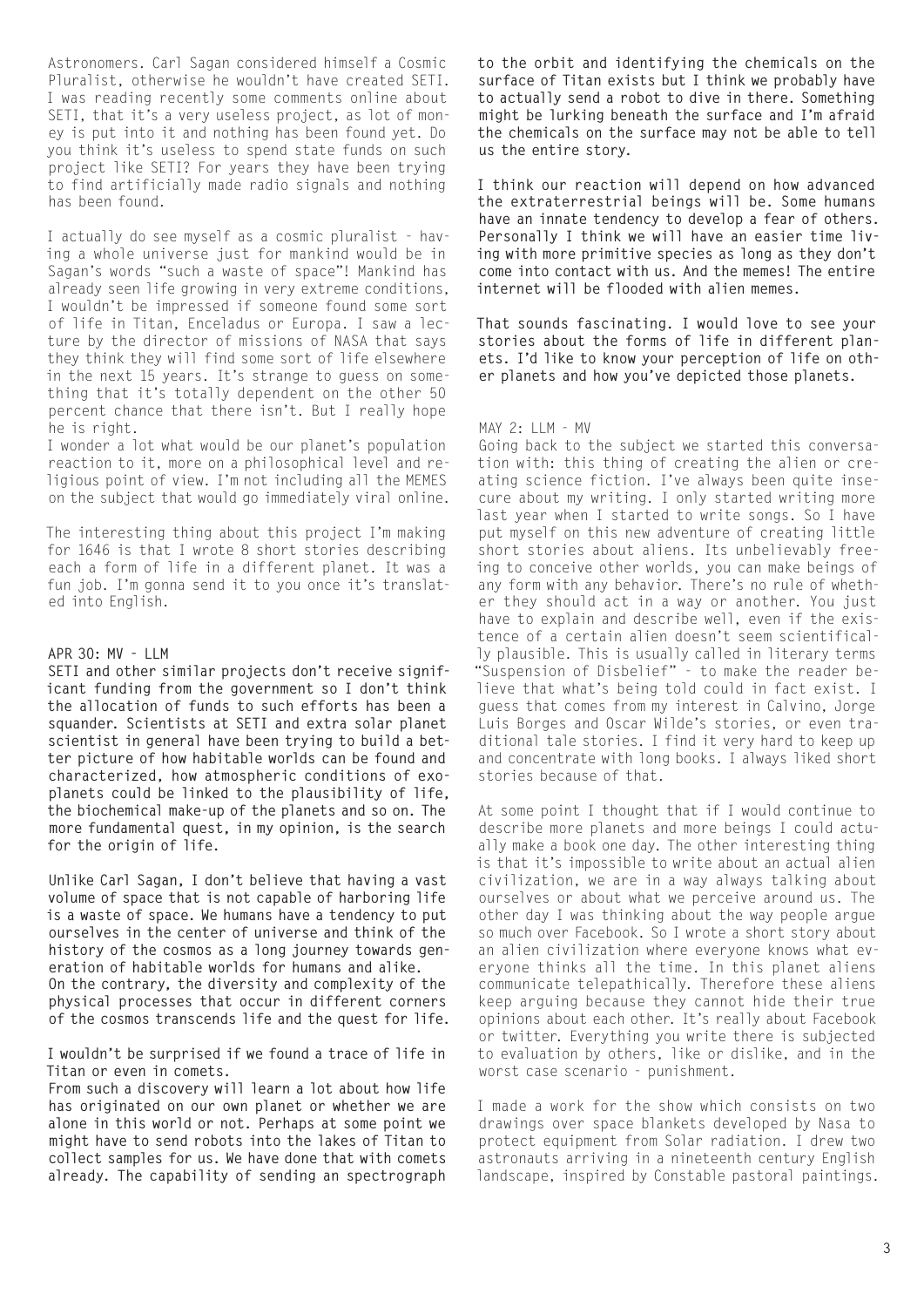Astronomers. Carl Sagan considered himself a Cosmic Pluralist, otherwise he wouldn't have created SETI. I was reading recently some comments online about SETI, that it's a very useless project, as lot of money is put into it and nothing has been found yet. Do you think it's useless to spend state funds on such project like SETI? For years they have been trying to find artificially made radio signals and nothing has been found.

I actually do see myself as a cosmic pluralist - having a whole universe just for mankind would be in Sagan's words "such a waste of space"! Mankind has already seen life growing in very extreme conditions, I wouldn't be impressed if someone found some sort of life in Titan, Enceladus or Europa. I saw a lecture by the director of missions of NASA that says they think they will find some sort of life elsewhere in the next 15 years. It's strange to guess on something that it's totally dependent on the other 50 percent chance that there isn't. But I really hope he is right.

I wonder a lot what would be our planet's population reaction to it, more on a philosophical level and religious point of view. I'm not including all the MEMES on the subject that would go immediately viral online.

The interesting thing about this project I'm making for 1646 is that I wrote 8 short stories describing each a form of life in a different planet. It was a fun job. I'm gonna send it to you once it's translated into English.

## **APR 30: MV - LLM**

**SETI and other similar projects don't receive significant funding from the government so I don't think the allocation of funds to such efforts has been a squander. Scientists at SETI and extra solar planet scientist in general have been trying to build a better picture of how habitable worlds can be found and characterized, how atmospheric conditions of exoplanets could be linked to the plausibility of life, the biochemical make-up of the planets and so on. The more fundamental quest, in my opinion, is the search for the origin of life.** 

**Unlike Carl Sagan, I don't believe that having a vast volume of space that is not capable of harboring life is a waste of space. We humans have a tendency to put ourselves in the center of universe and think of the history of the cosmos as a long journey towards generation of habitable worlds for humans and alike. On the contrary, the diversity and complexity of the physical processes that occur in different corners of the cosmos transcends life and the quest for life.**

**I wouldn't be surprised if we found a trace of life in Titan or even in comets.**

**From such a discovery will learn a lot about how life has originated on our own planet or whether we are alone in this world or not. Perhaps at some point we might have to send robots into the lakes of Titan to collect samples for us. We have done that with comets already. The capability of sending an spectrograph** 

**to the orbit and identifying the chemicals on the surface of Titan exists but I think we probably have to actually send a robot to dive in there. Something might be lurking beneath the surface and I'm afraid the chemicals on the surface may not be able to tell us the entire story.** 

**I think our reaction will depend on how advanced the extraterrestrial beings will be. Some humans have an innate tendency to develop a fear of others. Personally I think we will have an easier time living with more primitive species as long as they don't come into contact with us. And the memes! The entire internet will be flooded with alien memes.**

**That sounds fascinating. I would love to see your stories about the forms of life in different planets. I'd like to know your perception of life on other planets and how you've depicted those planets.**

#### MAY 2: LLM - MV

Going back to the subject we started this conversation with: this thing of creating the alien or creating science fiction. I've always been quite insecure about my writing. I only started writing more last year when I started to write songs. So I have put myself on this new adventure of creating little short stories about aliens. Its unbelievably freeing to conceive other worlds, you can make beings of any form with any behavior. There's no rule of whether they should act in a way or another. You just have to explain and describe well, even if the existence of a certain alien doesn't seem scientifically plausible. This is usually called in literary terms "Suspension of Disbelief" - to make the reader believe that what's being told could in fact exist. I guess that comes from my interest in Calvino, Jorge Luis Borges and Oscar Wilde's stories, or even traditional tale stories. I find it very hard to keep up and concentrate with long books. I always liked short stories because of that.

At some point I thought that if I would continue to describe more planets and more beings I could actually make a book one day. The other interesting thing is that it's impossible to write about an actual alien civilization, we are in a way always talking about ourselves or about what we perceive around us. The other day I was thinking about the way people argue so much over Facebook. So I wrote a short story about an alien civilization where everyone knows what everyone thinks all the time. In this planet aliens communicate telepathically. Therefore these aliens keep arguing because they cannot hide their true opinions about each other. It's really about Facebook or twitter. Everything you write there is subjected to evaluation by others, like or dislike, and in the worst case scenario - punishment.

I made a work for the show which consists on two drawings over space blankets developed by Nasa to protect equipment from Solar radiation. I drew two astronauts arriving in a nineteenth century English landscape, inspired by Constable pastoral paintings.